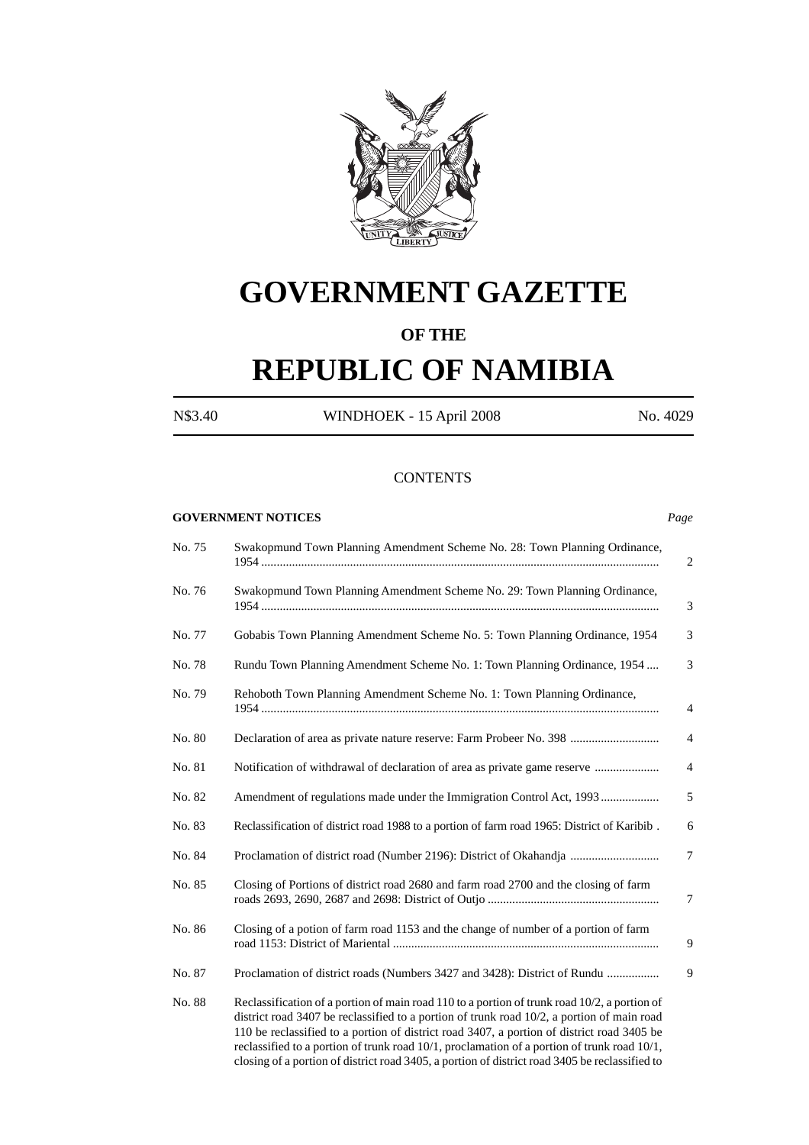

# **GOVERNMENT GAZETTE**

# **OF THE**

# **REPUBLIC OF NAMIBIA**

N\$3.40 WINDHOEK - 15 April 2008 No. 4029

#### **CONTENTS**

### **GOVERNMENT NOTICES** *Page*

| Swakopmund Town Planning Amendment Scheme No. 28: Town Planning Ordinance,<br>No. 75 |                                                                                                                                                                                                                                                                                                                                                                                                                                                                                           |                |
|--------------------------------------------------------------------------------------|-------------------------------------------------------------------------------------------------------------------------------------------------------------------------------------------------------------------------------------------------------------------------------------------------------------------------------------------------------------------------------------------------------------------------------------------------------------------------------------------|----------------|
| No. 76                                                                               | Swakopmund Town Planning Amendment Scheme No. 29: Town Planning Ordinance,                                                                                                                                                                                                                                                                                                                                                                                                                | 3              |
| No. 77                                                                               | Gobabis Town Planning Amendment Scheme No. 5: Town Planning Ordinance, 1954                                                                                                                                                                                                                                                                                                                                                                                                               | 3              |
| No. 78                                                                               | Rundu Town Planning Amendment Scheme No. 1: Town Planning Ordinance, 1954                                                                                                                                                                                                                                                                                                                                                                                                                 | 3              |
| No. 79                                                                               | Rehoboth Town Planning Amendment Scheme No. 1: Town Planning Ordinance,                                                                                                                                                                                                                                                                                                                                                                                                                   | 4              |
| No. 80                                                                               | Declaration of area as private nature reserve: Farm Probeer No. 398                                                                                                                                                                                                                                                                                                                                                                                                                       | $\overline{4}$ |
| No. 81                                                                               | Notification of withdrawal of declaration of area as private game reserve                                                                                                                                                                                                                                                                                                                                                                                                                 | $\overline{4}$ |
| No. 82                                                                               | Amendment of regulations made under the Immigration Control Act, 1993                                                                                                                                                                                                                                                                                                                                                                                                                     | 5              |
| No. 83                                                                               | Reclassification of district road 1988 to a portion of farm road 1965: District of Karibib.                                                                                                                                                                                                                                                                                                                                                                                               | 6              |
| No. 84                                                                               | Proclamation of district road (Number 2196): District of Okahandja                                                                                                                                                                                                                                                                                                                                                                                                                        | 7              |
| No. 85                                                                               | Closing of Portions of district road 2680 and farm road 2700 and the closing of farm                                                                                                                                                                                                                                                                                                                                                                                                      | 7              |
| No. 86                                                                               | Closing of a potion of farm road 1153 and the change of number of a portion of farm                                                                                                                                                                                                                                                                                                                                                                                                       | 9              |
| No. 87                                                                               | Proclamation of district roads (Numbers 3427 and 3428): District of Rundu                                                                                                                                                                                                                                                                                                                                                                                                                 | 9              |
| No. 88                                                                               | Reclassification of a portion of main road 110 to a portion of trunk road 10/2, a portion of<br>district road 3407 be reclassified to a portion of trunk road 10/2, a portion of main road<br>110 be reclassified to a portion of district road 3407, a portion of district road 3405 be<br>reclassified to a portion of trunk road 10/1, proclamation of a portion of trunk road 10/1,<br>closing of a portion of district road 3405, a portion of district road 3405 be reclassified to |                |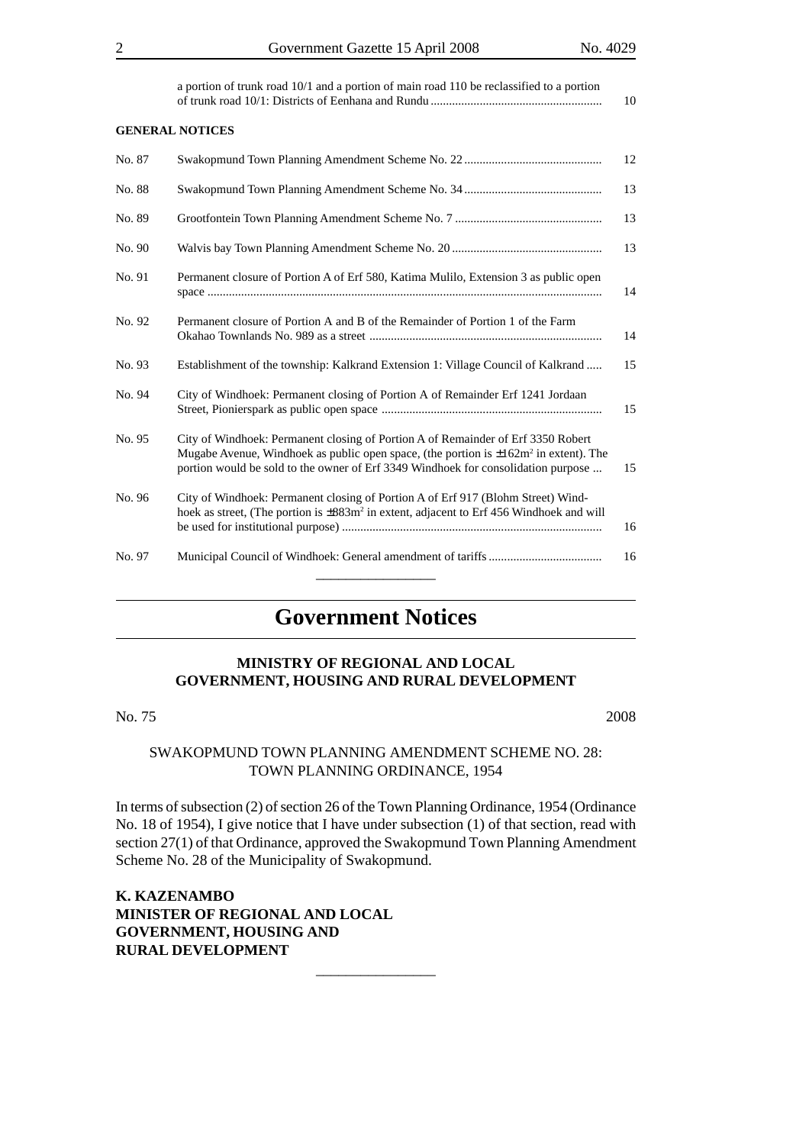a portion of trunk road 10/1 and a portion of main road 110 be reclassified to a portion of trunk road 10/1: Districts of Eenhana and Rundu ........................................................ 10

#### **GENERAL NOTICES**

| No. 87 |                                                                                                                                                                                                                                                                     | 12 |
|--------|---------------------------------------------------------------------------------------------------------------------------------------------------------------------------------------------------------------------------------------------------------------------|----|
| No. 88 |                                                                                                                                                                                                                                                                     | 13 |
| No. 89 |                                                                                                                                                                                                                                                                     | 13 |
| No. 90 |                                                                                                                                                                                                                                                                     | 13 |
| No. 91 | Permanent closure of Portion A of Erf 580, Katima Mulilo, Extension 3 as public open                                                                                                                                                                                | 14 |
| No. 92 | Permanent closure of Portion A and B of the Remainder of Portion 1 of the Farm                                                                                                                                                                                      | 14 |
| No. 93 | Establishment of the township: Kalkrand Extension 1: Village Council of Kalkrand                                                                                                                                                                                    | 15 |
| No. 94 | City of Windhoek: Permanent closing of Portion A of Remainder Erf 1241 Jordaan                                                                                                                                                                                      | 15 |
| No. 95 | City of Windhoek: Permanent closing of Portion A of Remainder of Erf 3350 Robert<br>Mugabe Avenue, Windhoek as public open space, (the portion is $\pm 162m^2$ in extent). The<br>portion would be sold to the owner of Erf 3349 Windhoek for consolidation purpose | 15 |
| No. 96 | City of Windhoek: Permanent closing of Portion A of Erf 917 (Blohm Street) Wind-<br>hoek as street, (The portion is ±883m <sup>2</sup> in extent, adjacent to Erf 456 Windhoek and will                                                                             | 16 |
| No. 97 |                                                                                                                                                                                                                                                                     | 16 |

# **Government Notices**

# **MINISTRY OF REGIONAL AND LOCAL GOVERNMENT, HOUSING AND RURAL DEVELOPMENT**

No. 75 2008

# SWAKOPMUND TOWN PLANNING AMENDMENT SCHEME NO. 28: TOWN PLANNING ORDINANCE, 1954

In terms of subsection (2) of section 26 of the Town Planning Ordinance, 1954 (Ordinance No. 18 of 1954), I give notice that I have under subsection (1) of that section, read with section 27(1) of that Ordinance, approved the Swakopmund Town Planning Amendment Scheme No. 28 of the Municipality of Swakopmund.

\_\_\_\_\_\_\_\_\_\_\_\_\_\_\_\_

**K. KAZENAMBO MINISTER OF REGIONAL AND LOCAL GOVERNMENT, HOUSING AND RURAL DEVELOPMENT**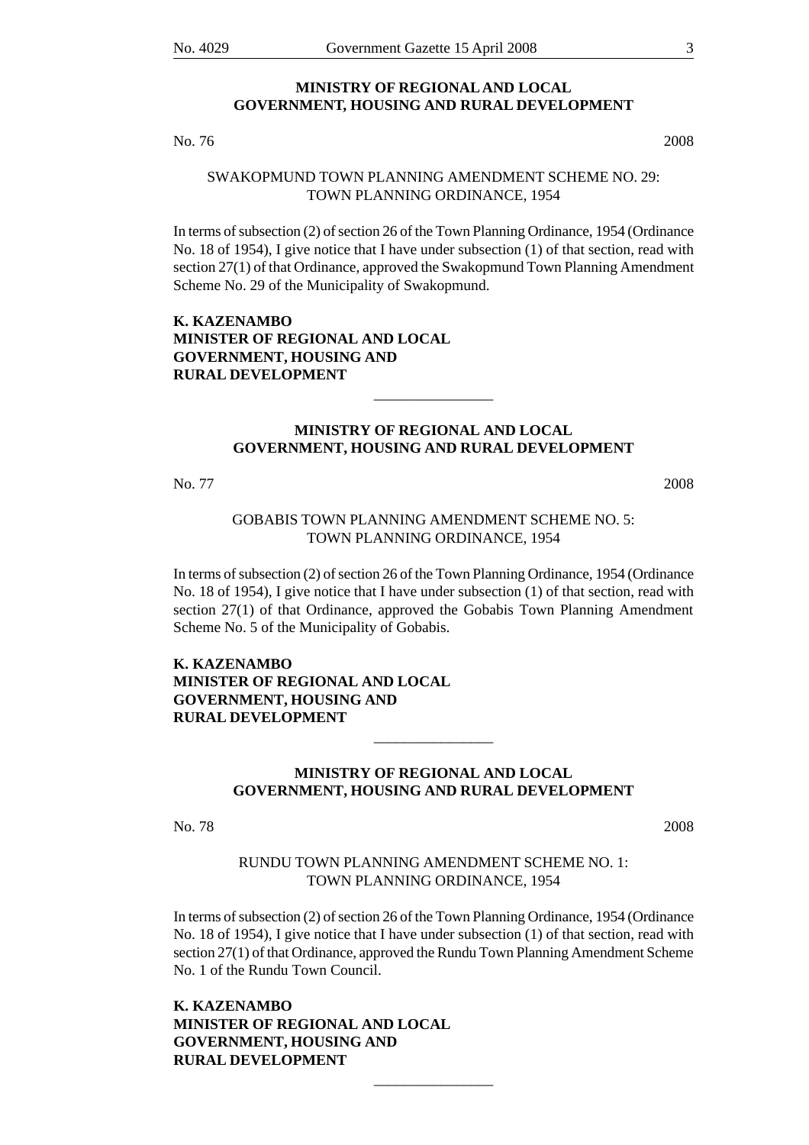#### **MINISTRY OF REGIONAL AND LOCAL GOVERNMENT, HOUSING AND RURAL DEVELOPMENT**

No. 76 2008

# SWAKOPMUND TOWN PLANNING AMENDMENT SCHEME NO. 29: TOWN PLANNING ORDINANCE, 1954

In terms of subsection (2) of section 26 of the Town Planning Ordinance, 1954 (Ordinance No. 18 of 1954), I give notice that I have under subsection (1) of that section, read with section 27(1) of that Ordinance, approved the Swakopmund Town Planning Amendment Scheme No. 29 of the Municipality of Swakopmund.

# **K. KAZENAMBO MINISTER OF REGIONAL AND LOCAL GOVERNMENT, HOUSING AND RURAL DEVELOPMENT**

# **MINISTRY OF REGIONAL AND LOCAL GOVERNMENT, HOUSING AND RURAL DEVELOPMENT**

\_\_\_\_\_\_\_\_\_\_\_\_\_\_\_\_

No. 77 2008

# GOBABIS TOWN PLANNING AMENDMENT SCHEME NO. 5: TOWN PLANNING ORDINANCE, 1954

In terms of subsection (2) of section 26 of the Town Planning Ordinance, 1954 (Ordinance No. 18 of 1954), I give notice that I have under subsection (1) of that section, read with section 27(1) of that Ordinance, approved the Gobabis Town Planning Amendment Scheme No. 5 of the Municipality of Gobabis.

# **K. KAZENAMBO MINISTER OF REGIONAL AND LOCAL GOVERNMENT, HOUSING AND RURAL DEVELOPMENT**

# **MINISTRY OF REGIONAL AND LOCAL GOVERNMENT, HOUSING AND RURAL DEVELOPMENT**

\_\_\_\_\_\_\_\_\_\_\_\_\_\_\_\_

No. 78 2008

# RUNDU TOWN PLANNING AMENDMENT SCHEME NO. 1: TOWN PLANNING ORDINANCE, 1954

In terms of subsection (2) of section 26 of the Town Planning Ordinance, 1954 (Ordinance No. 18 of 1954), I give notice that I have under subsection (1) of that section, read with section 27(1) of that Ordinance, approved the Rundu Town Planning Amendment Scheme No. 1 of the Rundu Town Council.

\_\_\_\_\_\_\_\_\_\_\_\_\_\_\_\_

**K. KAZENAMBO MINISTER OF REGIONAL AND LOCAL GOVERNMENT, HOUSING AND RURAL DEVELOPMENT**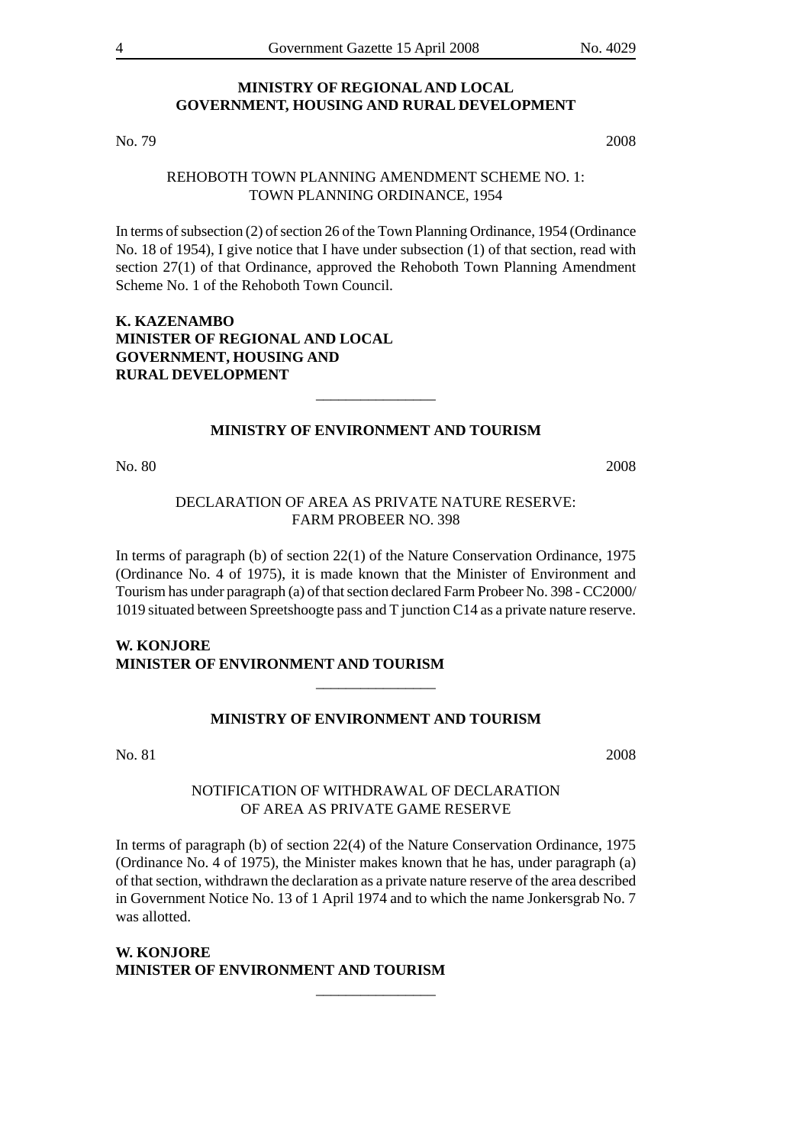### **MINISTRY OF REGIONAL AND LOCAL GOVERNMENT, HOUSING AND RURAL DEVELOPMENT**

No. 79 2008

# REHOBOTH TOWN PLANNING AMENDMENT SCHEME NO. 1: TOWN PLANNING ORDINANCE, 1954

In terms of subsection (2) of section 26 of the Town Planning Ordinance, 1954 (Ordinance No. 18 of 1954), I give notice that I have under subsection (1) of that section, read with section 27(1) of that Ordinance, approved the Rehoboth Town Planning Amendment Scheme No. 1 of the Rehoboth Town Council.

# **K. KAZENAMBO MINISTER OF REGIONAL AND LOCAL GOVERNMENT, HOUSING AND RURAL DEVELOPMENT**

### **MINISTRY OF ENVIRONMENT AND TOURISM**

\_\_\_\_\_\_\_\_\_\_\_\_\_\_\_\_

No. 80 2008

# DECLARATION OF AREA AS PRIVATE NATURE RESERVE: FARM PROBEER NO. 398

In terms of paragraph (b) of section 22(1) of the Nature Conservation Ordinance, 1975 (Ordinance No. 4 of 1975), it is made known that the Minister of Environment and Tourism has under paragraph (a) of that section declared Farm Probeer No. 398 - CC2000/ 1019 situated between Spreetshoogte pass and T junction C14 as a private nature reserve.

# **W. KONJORE MINISTER OF ENVIRONMENT AND TOURISM**

### **MINISTRY OF ENVIRONMENT AND TOURISM**

\_\_\_\_\_\_\_\_\_\_\_\_\_\_\_\_

No. 81 2008

## NOTIFICATION OF WITHDRAWAL OF DECLARATION OF AREA AS PRIVATE GAME RESERVE

In terms of paragraph (b) of section 22(4) of the Nature Conservation Ordinance, 1975 (Ordinance No. 4 of 1975), the Minister makes known that he has, under paragraph (a) of that section, withdrawn the declaration as a private nature reserve of the area described in Government Notice No. 13 of 1 April 1974 and to which the name Jonkersgrab No. 7 was allotted.

\_\_\_\_\_\_\_\_\_\_\_\_\_\_\_\_

# **W. KONJORE MINISTER OF ENVIRONMENT AND TOURISM**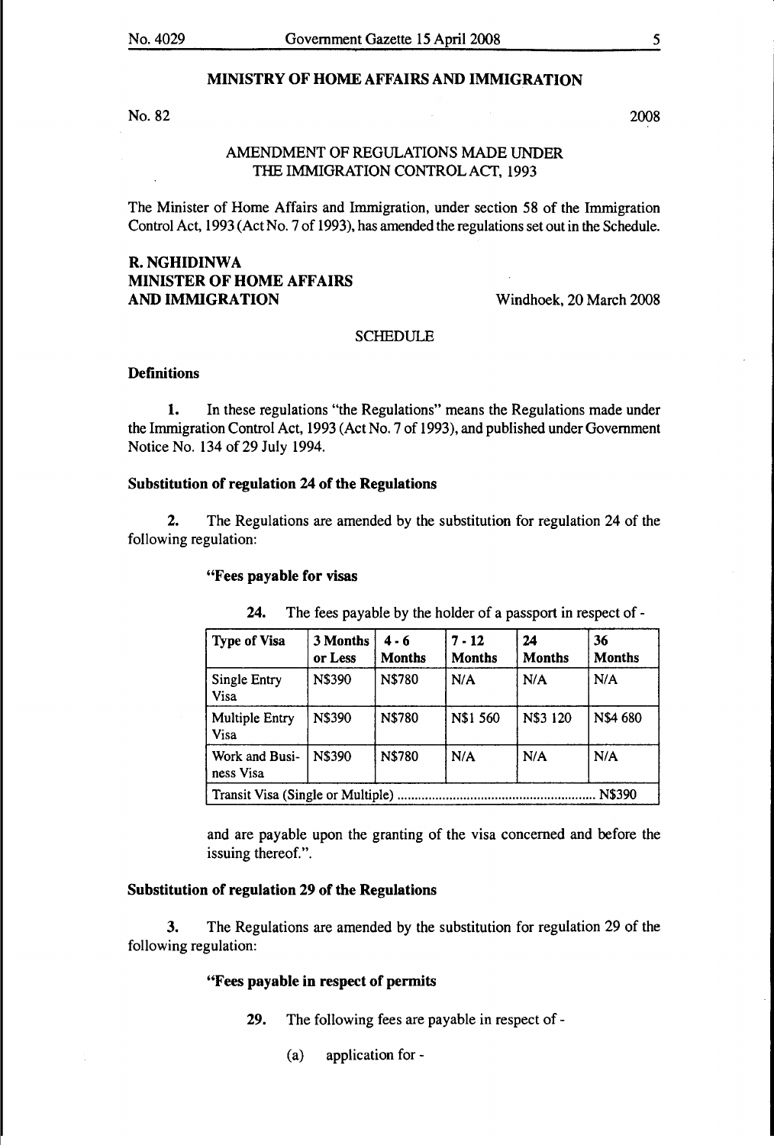## MINISTRY OF HOME AFFAIRS AND IMMIGRATION

No. 82  $2008$ 

## AMENDMENT OF REGULATIONS MADE UNDER THE IMMIGRATION CONTROL ACT, 1993

The Minister of Home Affairs and Immigration, under section 58 of the Immigration Control Act, 1993 (Act No.7 of 1993), has amended the regulations setout in the Schedule.

# R.NGHIDINWA MINISTER OF HOME AFFAIRS AND IMMIGRATION

Windhoek, 20 March 2008

#### SCHEDULE

# **Definitions**

1. In these regulations "the Regulations" means the Regulations made under the Immigration Control Act, 1993 (Act No.7 of 1993), and published under Government Notice No. 134 of 29 July 1994.

## Substitution of regulation 24 of the Regulations

2. The Regulations are amended by the substitution for regulation 24 of the following regulation:

#### "Fees payable for visas

| <b>Type of Visa</b>                         | 3 Months<br>or Less | 4 - 6<br><b>Months</b>                | $7 - 12$<br><b>Months</b> | 24<br><b>Months</b> | 36<br><b>Months</b> |
|---------------------------------------------|---------------------|---------------------------------------|---------------------------|---------------------|---------------------|
| Single Entry<br>Visa                        | N\$390              | N\$780                                | N/A                       | N/A                 | N/A                 |
| <b>Multiple Entry</b><br><b>Visa</b>        | N\$390              | N\$3 120<br><b>N\$780</b><br>N\$1 560 |                           |                     | N\$4 680            |
| Work and Busi-<br>ness Visa                 | <b>N\$390</b>       | N\$780                                | N/A                       | N/A                 | N/A                 |
| N\$390<br>Transit Visa (Single or Multiple) |                     |                                       |                           |                     |                     |

24. The fees payable by the holder of a passport in respect of -

and are payable upon the granting of the visa concerned and before the issuing thereof.".

### Substitution of regulation 29 of the Regulations

3. The Regulations are amended by the substitution for regulation 29 of the following regulation:

#### "Fees payable in respect of permits

- 29. The following fees are payable in respect of -
	- (a) application for-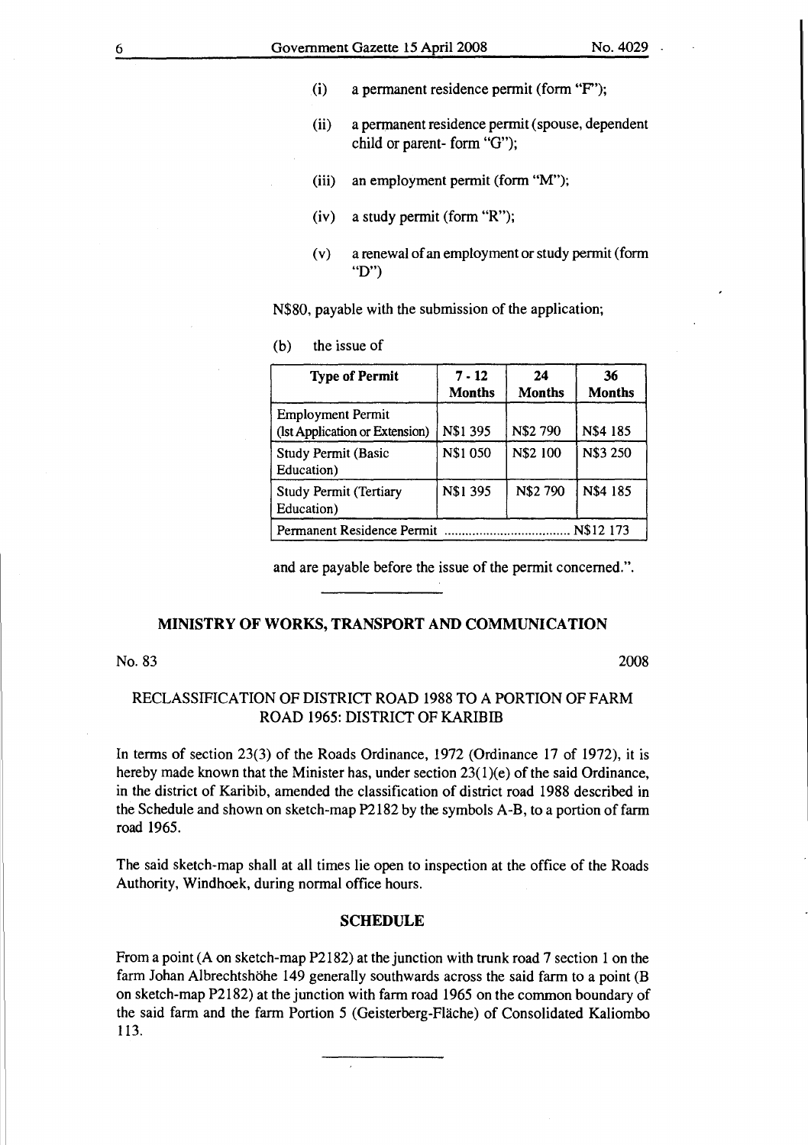- (i) a permanent residence permit (form "F');
- (ii) a permanent residence permit (spouse, dependent child or parent- form "G");
- (iii) an employment permit (form "M");
- (iv) a study permit (form "R");
- (v) a renewal of an employment or study permit (form "D")

N\$80, payable with the submission of the application;

(b) the issue of

| <b>Type of Permit</b>                                      | $7 - 12$<br><b>Months</b> | 24<br><b>Months</b> | 36<br><b>Months</b> |
|------------------------------------------------------------|---------------------------|---------------------|---------------------|
| <b>Employment Permit</b><br>(Ist Application or Extension) | N\$1 395                  | N\$2 790            | N\$4 185            |
| <b>Study Permit (Basic</b><br>Education)                   | N\$1 050                  | N\$2 100            | N\$3 250            |
| <b>Study Permit (Tertiary</b><br>Education)                | <b>N\$1 395</b>           | N\$2 790            | N\$4 185            |
| N\$12 173<br>Permanent Residence Permit                    |                           |                     |                     |

and are payable before the issue of the permit concerned.".

#### MINISTRY OF WORKS, TRANSPORT AND COMMUNICATION

No. 83 2008

# RECLASSIFICATION OF DISTRICT ROAD 1988 TO A PORTION OF FARM ROAD 1965: DISTRICT OF KARIBIB

In terms of section 23(3) of the Roads Ordinance, 1972 (Ordinance 17 of 1972), it is hereby made known that the Minister has, under section  $23(1)(e)$  of the said Ordinance, in the district of Karibib, amended the classification of district road 1988 described in the Schedule and shown on sketch-map P2182 by the symbols A-B, to a portion of farm road 1965.

The said sketch-map shall at all times lie open to inspection at the office of the Roads Authority, Windhoek, during normal office hours.

#### SCHEDULE

From a point (A on sketch-map P2182) at the junction with trunk road 7 section 1 on the farm Johan Albrechtshöhe 149 generally southwards across the said farm to a point (B on sketch-map P2182) at the junction with farm road 1965 on the common boundary of the said farm and the farm Portion 5 (Geisterberg-Flache) of Consolidated Kaliombo 113.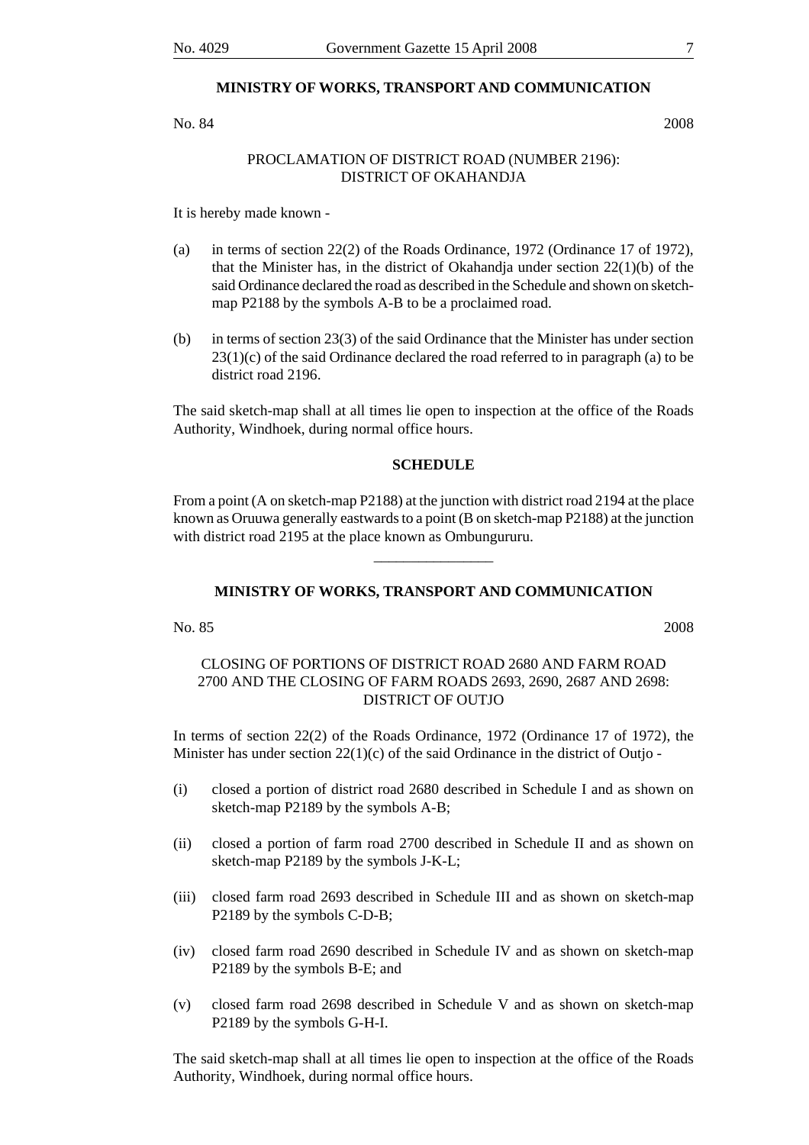### **MINISTRY OF WORKS, TRANSPORT AND COMMUNICATION**

No. 84 2008

# PROCLAMATION OF DISTRICT ROAD (NUMBER 2196): DISTRICT OF OKAHANDJA

It is hereby made known -

- (a) in terms of section 22(2) of the Roads Ordinance, 1972 (Ordinance 17 of 1972), that the Minister has, in the district of Okahandia under section  $22(1)(b)$  of the said Ordinance declared the road as described in the Schedule and shown on sketchmap P2188 by the symbols A-B to be a proclaimed road.
- (b) in terms of section 23(3) of the said Ordinance that the Minister has under section  $23(1)(c)$  of the said Ordinance declared the road referred to in paragraph (a) to be district road 2196.

The said sketch-map shall at all times lie open to inspection at the office of the Roads Authority, Windhoek, during normal office hours.

#### **SCHEDULE**

From a point (A on sketch-map P2188) at the junction with district road 2194 at the place known as Oruuwa generally eastwards to a point (B on sketch-map P2188) at the junction with district road 2195 at the place known as Ombungururu.

\_\_\_\_\_\_\_\_\_\_\_\_\_\_\_\_

#### **MINISTRY OF WORKS, TRANSPORT AND COMMUNICATION**

No. 85 2008

# CLOSING OF PORTIONS OF DISTRICT ROAD 2680 AND FARM ROAD 2700 AND THE CLOSING OF FARM ROADS 2693, 2690, 2687 AND 2698: DISTRICT OF OUTJO

In terms of section 22(2) of the Roads Ordinance, 1972 (Ordinance 17 of 1972), the Minister has under section 22(1)(c) of the said Ordinance in the district of Outjo -

- (i) closed a portion of district road 2680 described in Schedule I and as shown on sketch-map P2189 by the symbols A-B;
- (ii) closed a portion of farm road 2700 described in Schedule II and as shown on sketch-map P2189 by the symbols J-K-L;
- (iii) closed farm road 2693 described in Schedule III and as shown on sketch-map P2189 by the symbols C-D-B;
- (iv) closed farm road 2690 described in Schedule IV and as shown on sketch-map P2189 by the symbols B-E; and
- (v) closed farm road 2698 described in Schedule V and as shown on sketch-map P2189 by the symbols G-H-I.

The said sketch-map shall at all times lie open to inspection at the office of the Roads Authority, Windhoek, during normal office hours.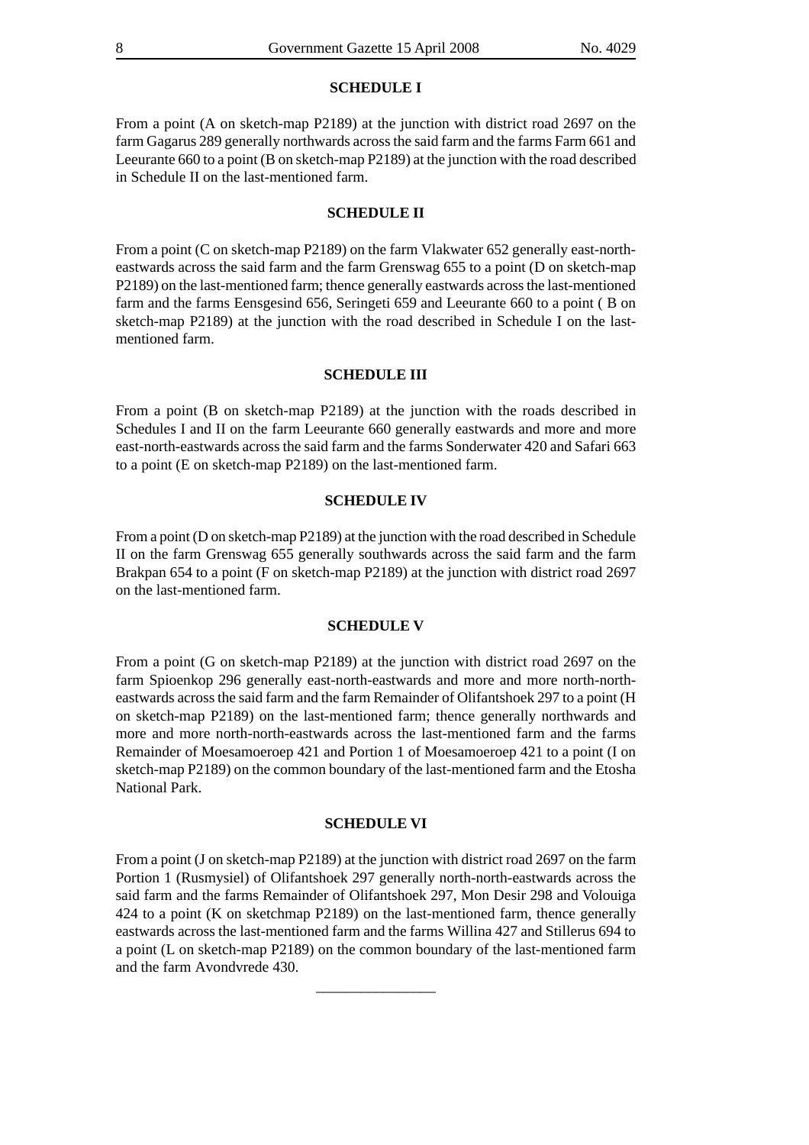#### **SCHEDULE I**

From a point (A on sketch-map P2189) at the junction with district road 2697 on the farm Gagarus 289 generally northwards across the said farm and the farms Farm 661 and Leeurante 660 to a point (B on sketch-map P2189) at the junction with the road described in Schedule II on the last-mentioned farm.

#### **SCHEDULE II**

From a point (C on sketch-map P2189) on the farm Vlakwater 652 generally east-northeastwards across the said farm and the farm Grenswag 655 to a point (D on sketch-map P2189) on the last-mentioned farm; thence generally eastwards across the last-mentioned farm and the farms Eensgesind 656, Seringeti 659 and Leeurante 660 to a point ( B on sketch-map P2189) at the junction with the road described in Schedule I on the lastmentioned farm.

#### **SCHEDULE III**

From a point (B on sketch-map P2189) at the junction with the roads described in Schedules I and II on the farm Leeurante 660 generally eastwards and more and more east-north-eastwards across the said farm and the farms Sonderwater 420 and Safari 663 to a point (E on sketch-map P2189) on the last-mentioned farm.

#### **SCHEDULE IV**

From a point (D on sketch-map P2189) at the junction with the road described in Schedule II on the farm Grenswag 655 generally southwards across the said farm and the farm Brakpan 654 to a point (F on sketch-map P2189) at the junction with district road 2697 on the last-mentioned farm.

#### **SCHEDULE V**

From a point (G on sketch-map P2189) at the junction with district road 2697 on the farm Spioenkop 296 generally east-north-eastwards and more and more north-northeastwards across the said farm and the farm Remainder of Olifantshoek 297 to a point (H on sketch-map P2189) on the last-mentioned farm; thence generally northwards and more and more north-north-eastwards across the last-mentioned farm and the farms Remainder of Moesamoeroep 421 and Portion 1 of Moesamoeroep 421 to a point (I on sketch-map P2189) on the common boundary of the last-mentioned farm and the Etosha National Park.

#### **SCHEDULE VI**

From a point (J on sketch-map P2189) at the junction with district road 2697 on the farm Portion 1 (Rusmysiel) of Olifantshoek 297 generally north-north-eastwards across the said farm and the farms Remainder of Olifantshoek 297, Mon Desir 298 and Volouiga 424 to a point (K on sketchmap P2189) on the last-mentioned farm, thence generally eastwards across the last-mentioned farm and the farms Willina 427 and Stillerus 694 to a point (L on sketch-map P2189) on the common boundary of the last-mentioned farm and the farm Avondvrede 430.

\_\_\_\_\_\_\_\_\_\_\_\_\_\_\_\_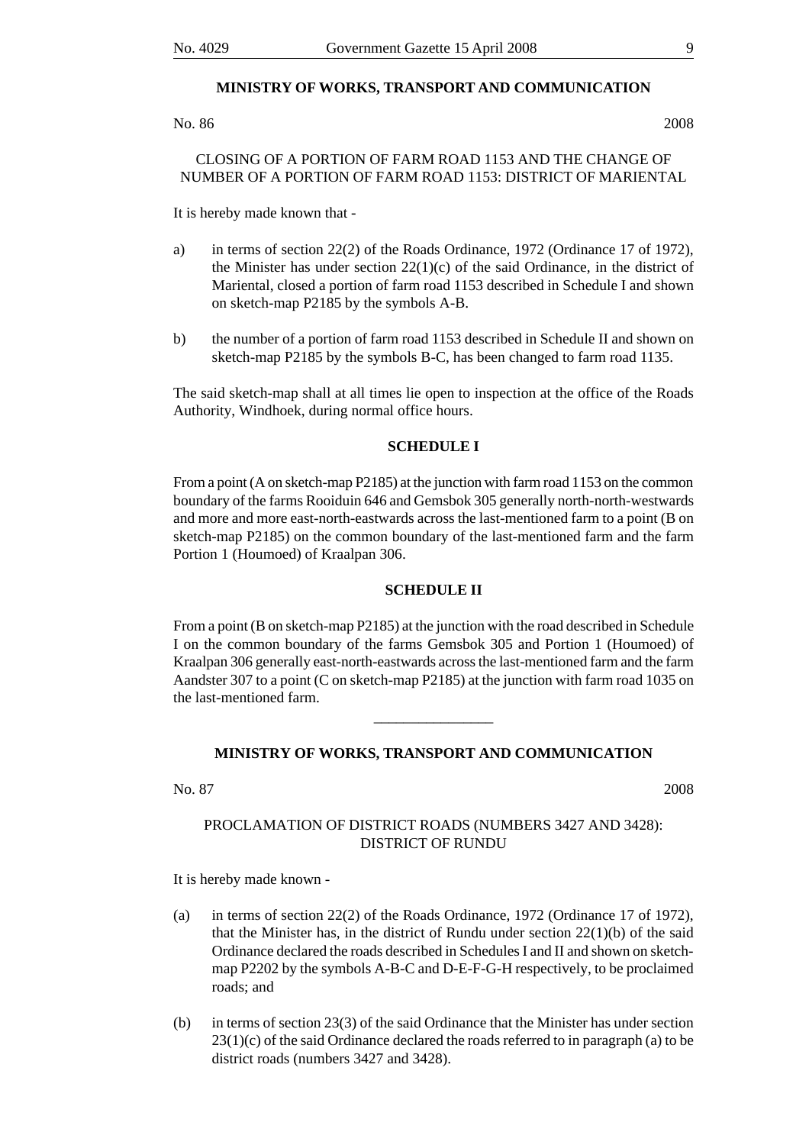#### **MINISTRY OF WORKS, TRANSPORT AND COMMUNICATION**

No. 86 2008

# CLOSING OF A PORTION OF FARM ROAD 1153 AND THE CHANGE OF NUMBER OF A PORTION OF FARM ROAD 1153: DISTRICT OF MARIENTAL

It is hereby made known that -

- a) in terms of section 22(2) of the Roads Ordinance, 1972 (Ordinance 17 of 1972), the Minister has under section  $22(1)(c)$  of the said Ordinance, in the district of Mariental, closed a portion of farm road 1153 described in Schedule I and shown on sketch-map P2185 by the symbols A-B.
- b) the number of a portion of farm road 1153 described in Schedule II and shown on sketch-map P2185 by the symbols B-C, has been changed to farm road 1135.

The said sketch-map shall at all times lie open to inspection at the office of the Roads Authority, Windhoek, during normal office hours.

### **SCHEDULE I**

From a point (A on sketch-map P2185) at the junction with farm road 1153 on the common boundary of the farms Rooiduin 646 and Gemsbok 305 generally north-north-westwards and more and more east-north-eastwards across the last-mentioned farm to a point (B on sketch-map P2185) on the common boundary of the last-mentioned farm and the farm Portion 1 (Houmoed) of Kraalpan 306.

#### **SCHEDULE II**

From a point (B on sketch-map P2185) at the junction with the road described in Schedule I on the common boundary of the farms Gemsbok 305 and Portion 1 (Houmoed) of Kraalpan 306 generally east-north-eastwards across the last-mentioned farm and the farm Aandster 307 to a point (C on sketch-map P2185) at the junction with farm road 1035 on the last-mentioned farm.

# **MINISTRY OF WORKS, TRANSPORT AND COMMUNICATION**

\_\_\_\_\_\_\_\_\_\_\_\_\_\_\_\_

No. 87 2008

# PROCLAMATION OF DISTRICT ROADS (NUMBERS 3427 AND 3428): DISTRICT OF RUNDU

It is hereby made known -

- (a) in terms of section 22(2) of the Roads Ordinance, 1972 (Ordinance 17 of 1972), that the Minister has, in the district of Rundu under section  $22(1)(b)$  of the said Ordinance declared the roads described in Schedules I and II and shown on sketchmap P2202 by the symbols A-B-C and D-E-F-G-H respectively, to be proclaimed roads; and
- (b) in terms of section 23(3) of the said Ordinance that the Minister has under section  $23(1)(c)$  of the said Ordinance declared the roads referred to in paragraph (a) to be district roads (numbers 3427 and 3428).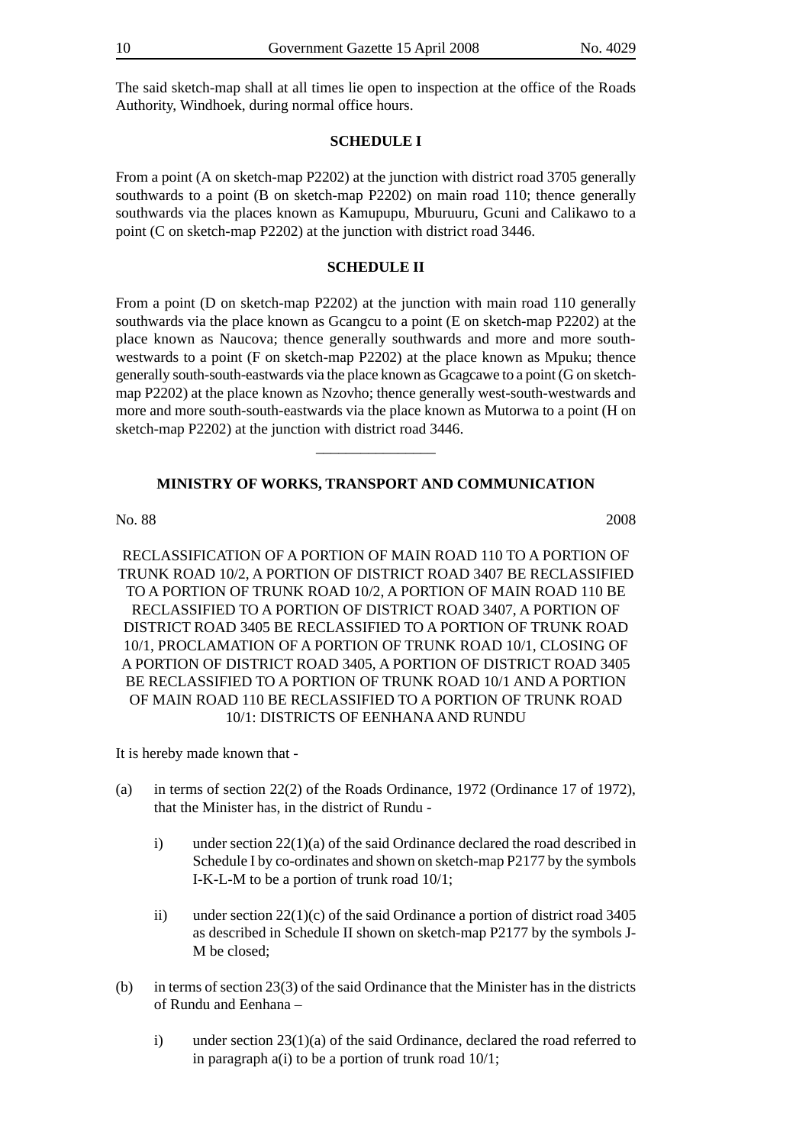The said sketch-map shall at all times lie open to inspection at the office of the Roads Authority, Windhoek, during normal office hours.

# **SCHEDULE I**

From a point (A on sketch-map P2202) at the junction with district road 3705 generally southwards to a point (B on sketch-map P2202) on main road 110; thence generally southwards via the places known as Kamupupu, Mburuuru, Gcuni and Calikawo to a point (C on sketch-map P2202) at the junction with district road 3446.

#### **SCHEDULE II**

From a point (D on sketch-map P2202) at the junction with main road 110 generally southwards via the place known as Gcangcu to a point (E on sketch-map P2202) at the place known as Naucova; thence generally southwards and more and more southwestwards to a point (F on sketch-map P2202) at the place known as Mpuku; thence generally south-south-eastwards via the place known as Gcagcawe to a point (G on sketchmap P2202) at the place known as Nzovho; thence generally west-south-westwards and more and more south-south-eastwards via the place known as Mutorwa to a point (H on sketch-map P2202) at the junction with district road 3446.

#### **MINISTRY OF WORKS, TRANSPORT AND COMMUNICATION**

\_\_\_\_\_\_\_\_\_\_\_\_\_\_\_\_

No. 88 2008

RECLASSIFICATION OF A PORTION OF MAIN ROAD 110 TO A PORTION OF TRUNK ROAD 10/2, A PORTION OF DISTRICT ROAD 3407 BE RECLASSIFIED TO A PORTION OF TRUNK ROAD 10/2, A PORTION OF MAIN ROAD 110 BE RECLASSIFIED TO A PORTION OF DISTRICT ROAD 3407, A PORTION OF DISTRICT ROAD 3405 BE RECLASSIFIED TO A PORTION OF TRUNK ROAD 10/1, PROCLAMATION OF A PORTION OF TRUNK ROAD 10/1, CLOSING OF A PORTION OF DISTRICT ROAD 3405, A PORTION OF DISTRICT ROAD 3405 BE RECLASSIFIED TO A PORTION OF TRUNK ROAD 10/1 AND A PORTION OF MAIN ROAD 110 BE RECLASSIFIED TO A PORTION OF TRUNK ROAD 10/1: DISTRICTS OF EENHANA AND RUNDU

It is hereby made known that -

- (a) in terms of section 22(2) of the Roads Ordinance, 1972 (Ordinance 17 of 1972), that the Minister has, in the district of Rundu
	- i) under section 22(1)(a) of the said Ordinance declared the road described in Schedule I by co-ordinates and shown on sketch-map P2177 by the symbols I-K-L-M to be a portion of trunk road 10/1;
	- ii) under section 22(1)(c) of the said Ordinance a portion of district road 3405 as described in Schedule II shown on sketch-map P2177 by the symbols J-M be closed;
- (b) in terms of section 23(3) of the said Ordinance that the Minister has in the districts of Rundu and Eenhana –
	- i) under section 23(1)(a) of the said Ordinance, declared the road referred to in paragraph a(i) to be a portion of trunk road 10/1;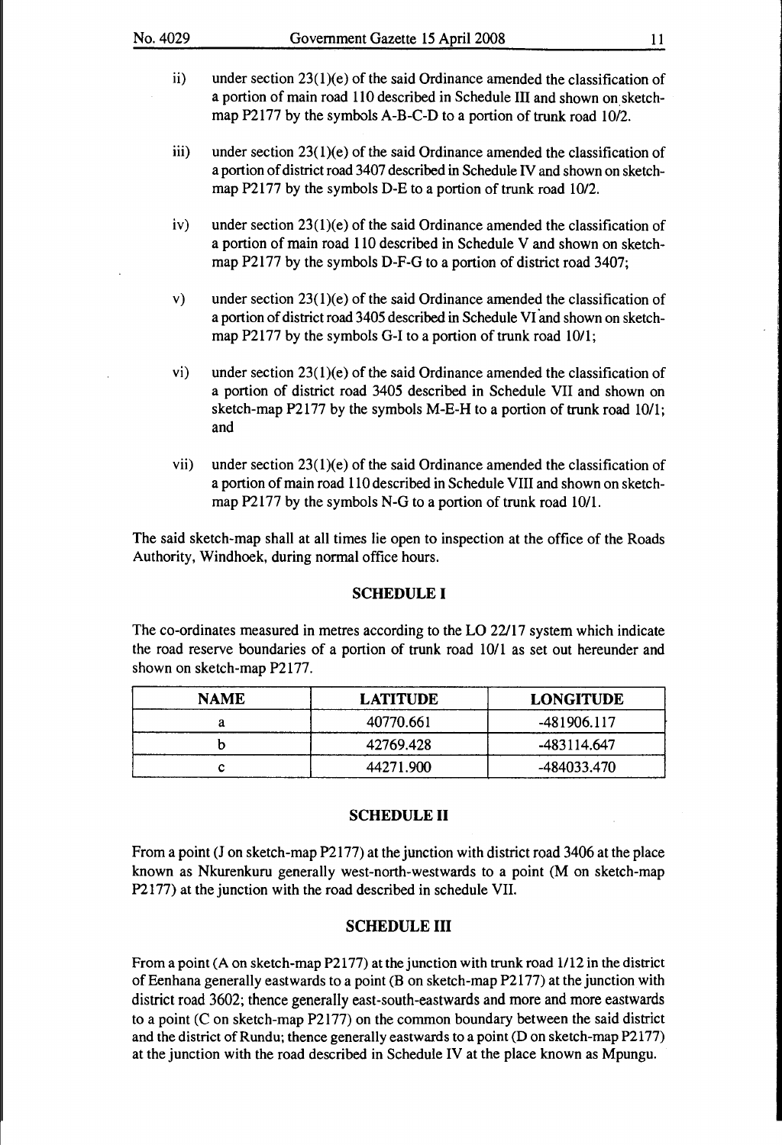- ii) under section  $23(1)(e)$  of the said Ordinance amended the classification of a portion of main road 110 described in Schedule Ill and shown on sketchmap P2177 by the symbols A-B-C-D to a portion of trunk road 10/2.
- iii) under section 23(1)(e) of the said Ordinance amended the classification of a portion of district road 3407 described in Schedule IV and shown on sketchmap P2177 by the symbols D-E to a portion of trunk road 10/2.
- iv) under section  $23(1)(e)$  of the said Ordinance amended the classification of a portion of main road 110 described in Schedule V and shown on sketchmap P2177 by the symbols D-F-G to a portion of district road 3407;
- v) under section  $23(1)(e)$  of the said Ordinance amended the classification of a portion of district road 3405 described in Schedule VI and shown on sketchmap P2177 by the symbols G-I to a portion of trunk road 10/1;
- vi) under section 23(1)(e) of the said Ordinance amended the classification of a portion of district road 3405 described in Schedule VII and shown on sketch-map P2177 by the symbols M-E-H to a portion of trunk road 10/1; and
- vii) under section  $23(1)(e)$  of the said Ordinance amended the classification of a portion of main road 110 described in Schedule Vlll and shown on sketchmap P2177 by the symbols N-G to a portion of trunk road 10/1.

The said sketch-map shall at all times lie open to inspection at the office of the Roads Authority, Windhoek, during normal office hours.

## **SCHEDULE I**

The co-ordinates measured in metres according to the LO 22/17 system which indicate the road reserve boundaries of a portion of trunk road 10/1 as set out hereunder and shown on sketch-map P2177.

| <b>NAME</b> | <b>LATITUDE</b> | <b>LONGITUDE</b> |
|-------------|-----------------|------------------|
|             | 40770.661       | -481906.117      |
|             | 42769.428       | -483114.647      |
|             | 44271.900       | -484033.470      |

## **SCHEDULE II**

From a point (J on sketch-map P2177) at the junction with district road 3406 at the place known as Nkurenkuru generally west-north-westwards to a point (M on sketch-map P2177) at the junction with the road described in schedule VII.

# **SCHEDULE III**

From a point (A on sketch-map P2177) at the junction with trunk road 1112 in the district of Eenhana generally eastwards to a point (B on sketch-map P2177) at the junction with district road 3602; thence generally east-south-eastwards and more and more eastwards to a point (C on sketch-map P2177) on the common boundary between the said district and the district of Rundu; thence generally eastwards to a point (D on sketch-map P2177) at the junction with the road described in Schedule IV at the place known as Mpungu.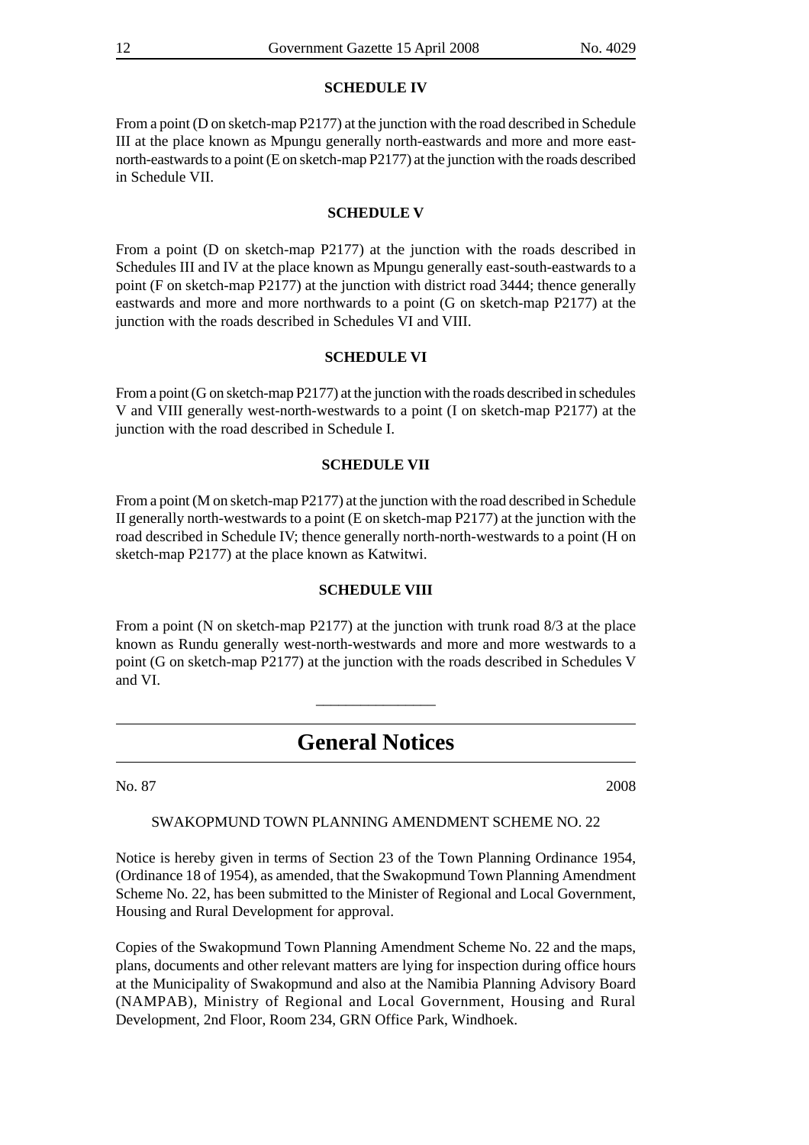## **SCHEDULE IV**

From a point (D on sketch-map P2177) at the junction with the road described in Schedule III at the place known as Mpungu generally north-eastwards and more and more eastnorth-eastwards to a point (E on sketch-map P2177) at the junction with the roads described in Schedule VII.

# **SCHEDULE V**

From a point (D on sketch-map P2177) at the junction with the roads described in Schedules III and IV at the place known as Mpungu generally east-south-eastwards to a point (F on sketch-map P2177) at the junction with district road 3444; thence generally eastwards and more and more northwards to a point (G on sketch-map P2177) at the junction with the roads described in Schedules VI and VIII.

# **SCHEDULE VI**

From a point (G on sketch-map P2177) at the junction with the roads described in schedules V and VIII generally west-north-westwards to a point (I on sketch-map P2177) at the junction with the road described in Schedule I.

### **SCHEDULE VII**

From a point (M on sketch-map P2177) at the junction with the road described in Schedule II generally north-westwards to a point (E on sketch-map P2177) at the junction with the road described in Schedule IV; thence generally north-north-westwards to a point (H on sketch-map P2177) at the place known as Katwitwi.

#### **SCHEDULE VIII**

From a point (N on sketch-map P2177) at the junction with trunk road 8/3 at the place known as Rundu generally west-north-westwards and more and more westwards to a point (G on sketch-map P2177) at the junction with the roads described in Schedules V and VI.

\_\_\_\_\_\_\_\_\_\_\_\_\_\_\_\_

# **General Notices**

No. 87 2008

SWAKOPMUND TOWN PLANNING AMENDMENT SCHEME NO. 22

Notice is hereby given in terms of Section 23 of the Town Planning Ordinance 1954, (Ordinance 18 of 1954), as amended, that the Swakopmund Town Planning Amendment Scheme No. 22, has been submitted to the Minister of Regional and Local Government, Housing and Rural Development for approval.

Copies of the Swakopmund Town Planning Amendment Scheme No. 22 and the maps, plans, documents and other relevant matters are lying for inspection during office hours at the Municipality of Swakopmund and also at the Namibia Planning Advisory Board (NAMPAB), Ministry of Regional and Local Government, Housing and Rural Development, 2nd Floor, Room 234, GRN Office Park, Windhoek.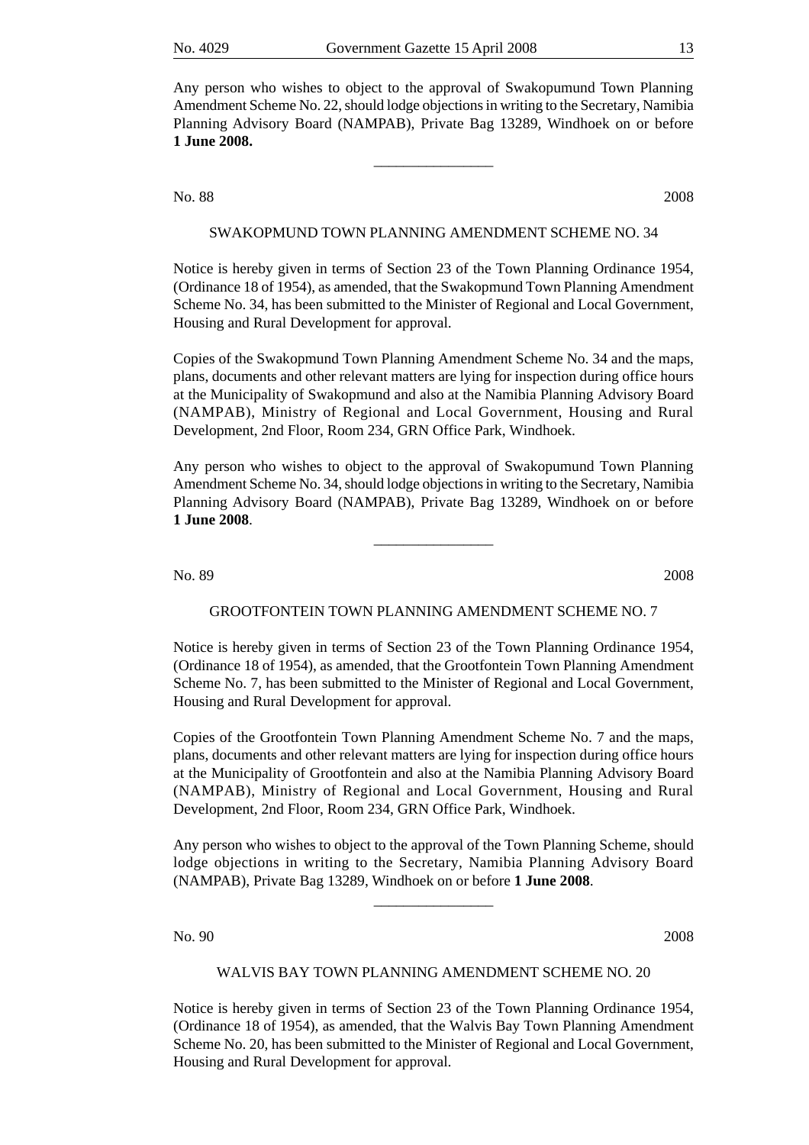Any person who wishes to object to the approval of Swakopumund Town Planning Amendment Scheme No. 22, should lodge objections in writing to the Secretary, Namibia Planning Advisory Board (NAMPAB), Private Bag 13289, Windhoek on or before **1 June 2008.**

\_\_\_\_\_\_\_\_\_\_\_\_\_\_\_\_

No. 88 2008

#### SWAKOPMUND TOWN PLANNING AMENDMENT SCHEME NO. 34

Notice is hereby given in terms of Section 23 of the Town Planning Ordinance 1954, (Ordinance 18 of 1954), as amended, that the Swakopmund Town Planning Amendment Scheme No. 34, has been submitted to the Minister of Regional and Local Government, Housing and Rural Development for approval.

Copies of the Swakopmund Town Planning Amendment Scheme No. 34 and the maps, plans, documents and other relevant matters are lying for inspection during office hours at the Municipality of Swakopmund and also at the Namibia Planning Advisory Board (NAMPAB), Ministry of Regional and Local Government, Housing and Rural Development, 2nd Floor, Room 234, GRN Office Park, Windhoek.

Any person who wishes to object to the approval of Swakopumund Town Planning Amendment Scheme No. 34, should lodge objections in writing to the Secretary, Namibia Planning Advisory Board (NAMPAB), Private Bag 13289, Windhoek on or before **1 June 2008**.

\_\_\_\_\_\_\_\_\_\_\_\_\_\_\_\_

No. 89 2008

#### GROOTFONTEIN TOWN PLANNING AMENDMENT SCHEME NO. 7

Notice is hereby given in terms of Section 23 of the Town Planning Ordinance 1954, (Ordinance 18 of 1954), as amended, that the Grootfontein Town Planning Amendment Scheme No. 7, has been submitted to the Minister of Regional and Local Government, Housing and Rural Development for approval.

Copies of the Grootfontein Town Planning Amendment Scheme No. 7 and the maps, plans, documents and other relevant matters are lying for inspection during office hours at the Municipality of Grootfontein and also at the Namibia Planning Advisory Board (NAMPAB), Ministry of Regional and Local Government, Housing and Rural Development, 2nd Floor, Room 234, GRN Office Park, Windhoek.

Any person who wishes to object to the approval of the Town Planning Scheme, should lodge objections in writing to the Secretary, Namibia Planning Advisory Board (NAMPAB), Private Bag 13289, Windhoek on or before **1 June 2008**.

\_\_\_\_\_\_\_\_\_\_\_\_\_\_\_\_

No. 90 2008

#### WALVIS BAY TOWN PLANNING AMENDMENT SCHEME NO. 20

Notice is hereby given in terms of Section 23 of the Town Planning Ordinance 1954, (Ordinance 18 of 1954), as amended, that the Walvis Bay Town Planning Amendment Scheme No. 20, has been submitted to the Minister of Regional and Local Government, Housing and Rural Development for approval.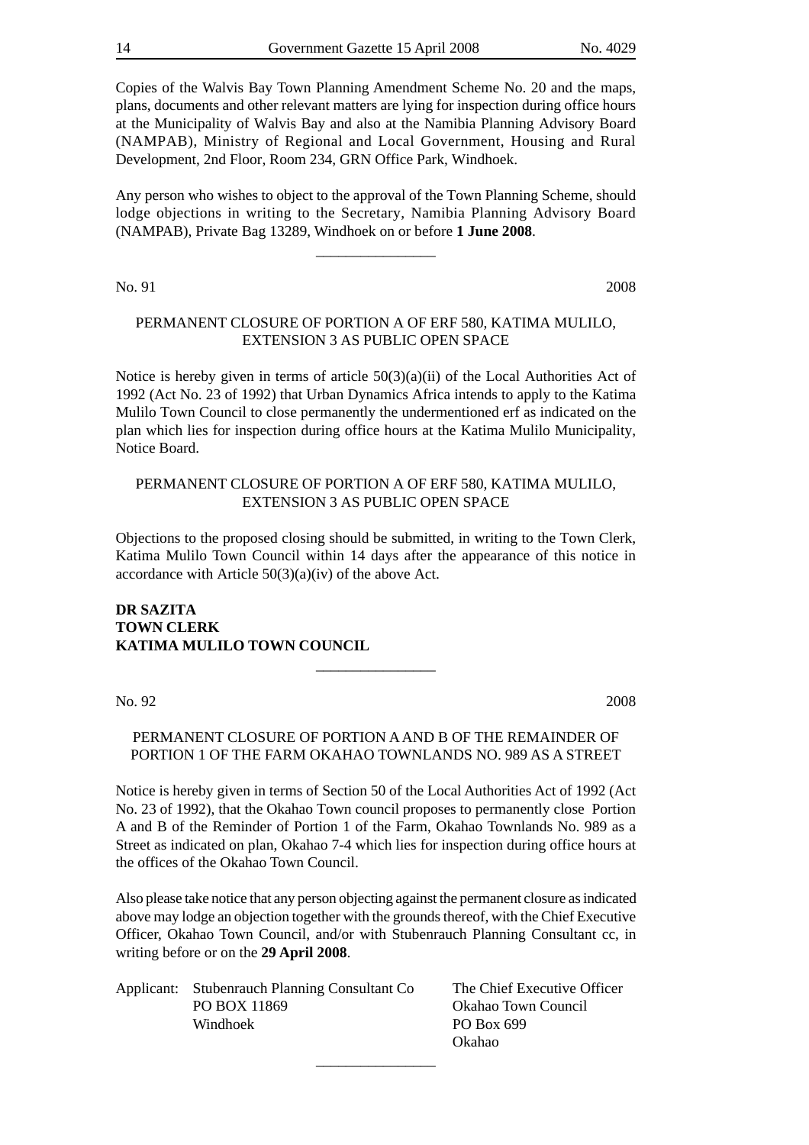Copies of the Walvis Bay Town Planning Amendment Scheme No. 20 and the maps, plans, documents and other relevant matters are lying for inspection during office hours at the Municipality of Walvis Bay and also at the Namibia Planning Advisory Board (NAMPAB), Ministry of Regional and Local Government, Housing and Rural Development, 2nd Floor, Room 234, GRN Office Park, Windhoek.

Any person who wishes to object to the approval of the Town Planning Scheme, should lodge objections in writing to the Secretary, Namibia Planning Advisory Board (NAMPAB), Private Bag 13289, Windhoek on or before **1 June 2008**.

\_\_\_\_\_\_\_\_\_\_\_\_\_\_\_\_

No. 91 2008

# PERMANENT CLOSURE OF PORTION A OF ERF 580, KATIMA MULILO, EXTENSION 3 AS PUBLIC OPEN SPACE

Notice is hereby given in terms of article  $50(3)(a)(ii)$  of the Local Authorities Act of 1992 (Act No. 23 of 1992) that Urban Dynamics Africa intends to apply to the Katima Mulilo Town Council to close permanently the undermentioned erf as indicated on the plan which lies for inspection during office hours at the Katima Mulilo Municipality, Notice Board.

# PERMANENT CLOSURE OF PORTION A OF ERF 580, KATIMA MULILO, EXTENSION 3 AS PUBLIC OPEN SPACE

Objections to the proposed closing should be submitted, in writing to the Town Clerk, Katima Mulilo Town Council within 14 days after the appearance of this notice in accordance with Article 50(3)(a)(iv) of the above Act.

**DR SAZITA TOWN CLERK KATIMA MULILO TOWN COUNCIL**

No. 92 2008

# PERMANENT CLOSURE OF PORTION A AND B OF THE REMAINDER OF PORTION 1 OF THE FARM OKAHAO TOWNLANDS NO. 989 AS A STREET

\_\_\_\_\_\_\_\_\_\_\_\_\_\_\_\_

Notice is hereby given in terms of Section 50 of the Local Authorities Act of 1992 (Act No. 23 of 1992), that the Okahao Town council proposes to permanently close Portion A and B of the Reminder of Portion 1 of the Farm, Okahao Townlands No. 989 as a Street as indicated on plan, Okahao 7-4 which lies for inspection during office hours at the offices of the Okahao Town Council.

Also please take notice that any person objecting against the permanent closure as indicated above may lodge an objection together with the grounds thereof, with the Chief Executive Officer, Okahao Town Council, and/or with Stubenrauch Planning Consultant cc, in writing before or on the **29 April 2008**.

| Applicant: Stubenrauch Planning Consultant Co | The Chief Executive Officer |  |  |
|-----------------------------------------------|-----------------------------|--|--|
| PO BOX 11869                                  | Okahao Town Council         |  |  |
| Windhoek                                      | PO Box 699                  |  |  |
|                                               | Okahao                      |  |  |

\_\_\_\_\_\_\_\_\_\_\_\_\_\_\_\_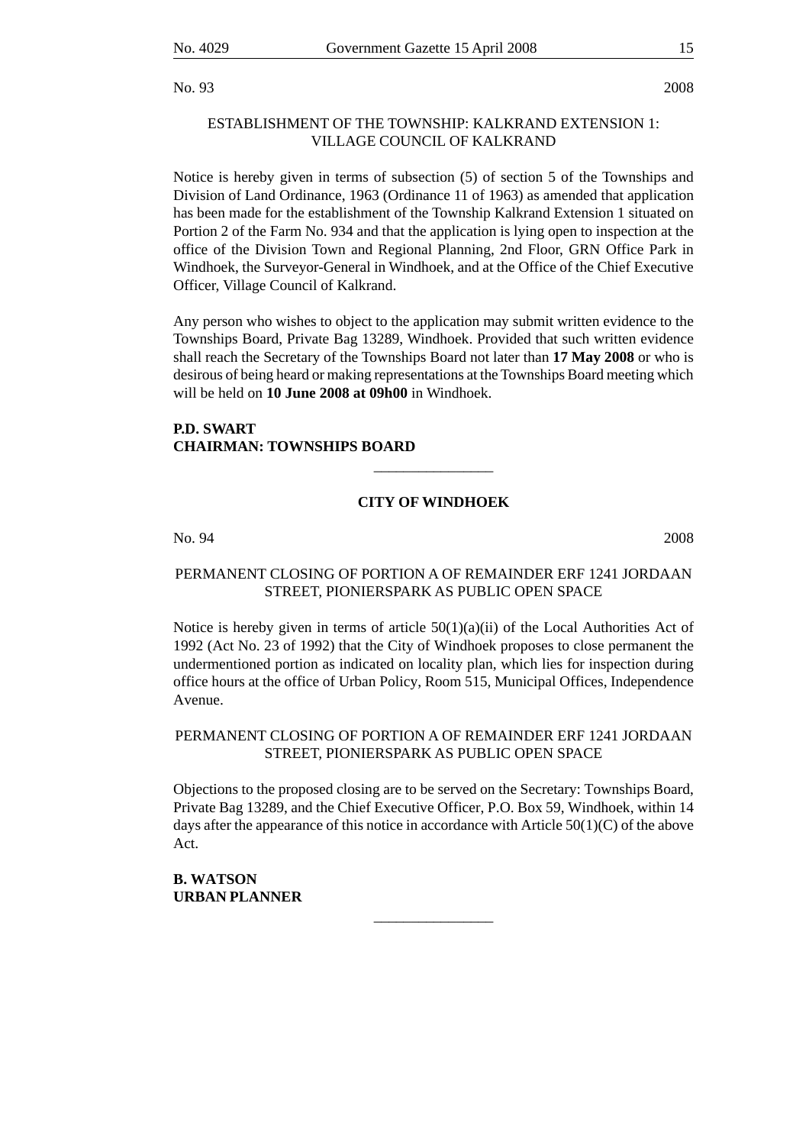No. 93 2008

# ESTABLISHMENT OF THE TOWNSHIP: KALKRAND EXTENSION 1: VILLAGE COUNCIL OF KALKRAND

Notice is hereby given in terms of subsection (5) of section 5 of the Townships and Division of Land Ordinance, 1963 (Ordinance 11 of 1963) as amended that application has been made for the establishment of the Township Kalkrand Extension 1 situated on Portion 2 of the Farm No. 934 and that the application is lying open to inspection at the office of the Division Town and Regional Planning, 2nd Floor, GRN Office Park in Windhoek, the Surveyor-General in Windhoek, and at the Office of the Chief Executive Officer, Village Council of Kalkrand.

Any person who wishes to object to the application may submit written evidence to the Townships Board, Private Bag 13289, Windhoek. Provided that such written evidence shall reach the Secretary of the Townships Board not later than **17 May 2008** or who is desirous of being heard or making representations at the Townships Board meeting which will be held on **10 June 2008 at 09h00** in Windhoek.

# **P.D. SWART CHAIRMAN: TOWNSHIPS BOARD**

# **CITY OF WINDHOEK**

\_\_\_\_\_\_\_\_\_\_\_\_\_\_\_\_

No. 94 2008

# PERMANENT CLOSING OF PORTION A OF REMAINDER ERF 1241 JORDAAN STREET, PIONIERSPARK AS PUBLIC OPEN SPACE

Notice is hereby given in terms of article  $50(1)(a)(ii)$  of the Local Authorities Act of 1992 (Act No. 23 of 1992) that the City of Windhoek proposes to close permanent the undermentioned portion as indicated on locality plan, which lies for inspection during office hours at the office of Urban Policy, Room 515, Municipal Offices, Independence Avenue.

# PERMANENT CLOSING OF PORTION A OF REMAINDER ERF 1241 JORDAAN STREET, PIONIERSPARK AS PUBLIC OPEN SPACE

Objections to the proposed closing are to be served on the Secretary: Townships Board, Private Bag 13289, and the Chief Executive Officer, P.O. Box 59, Windhoek, within 14 days after the appearance of this notice in accordance with Article  $50(1)(C)$  of the above Act.

\_\_\_\_\_\_\_\_\_\_\_\_\_\_\_\_

**B. WATSON URBAN PLANNER**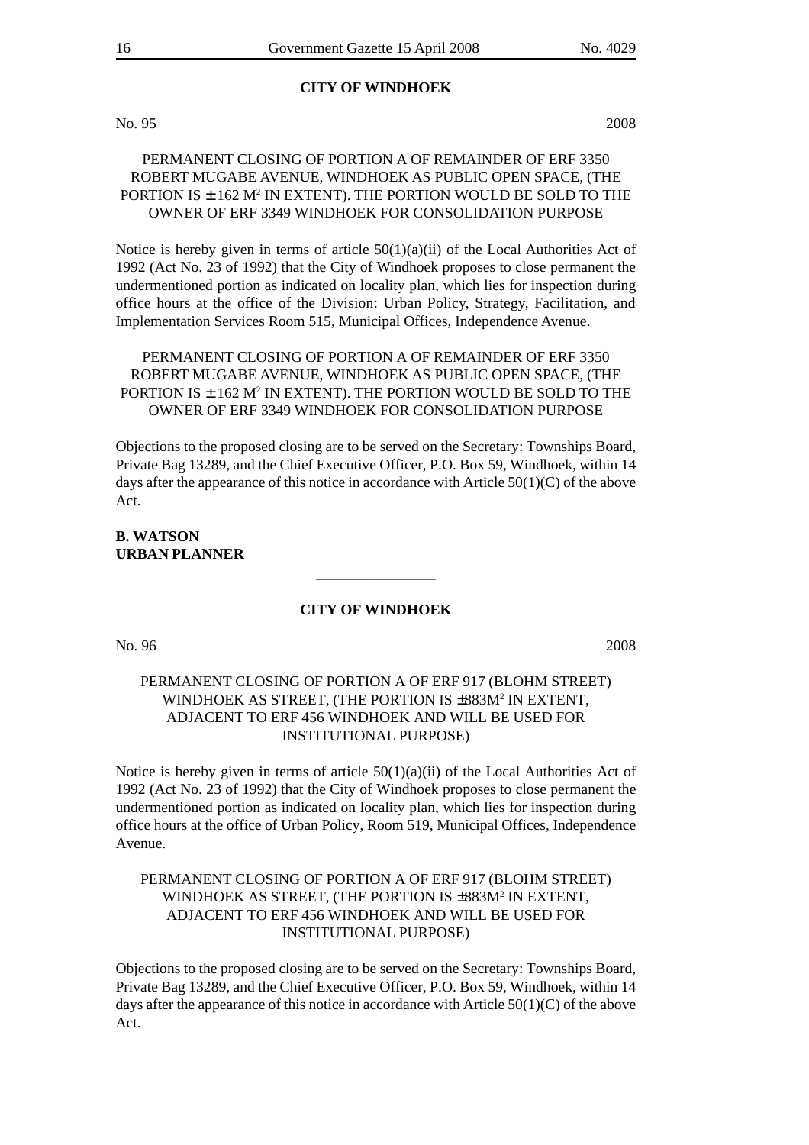# **CITY OF WINDHOEK**

No. 95 2008

# PERMANENT CLOSING OF PORTION A OF REMAINDER OF ERF 3350 ROBERT MUGABE AVENUE, WINDHOEK AS PUBLIC OPEN SPACE, (THE PORTION IS  $\pm$  162 M<sup>2</sup> IN EXTENT). THE PORTION WOULD BE SOLD TO THE OWNER OF ERF 3349 WINDHOEK FOR CONSOLIDATION PURPOSE

Notice is hereby given in terms of article  $50(1)(a)(ii)$  of the Local Authorities Act of 1992 (Act No. 23 of 1992) that the City of Windhoek proposes to close permanent the undermentioned portion as indicated on locality plan, which lies for inspection during office hours at the office of the Division: Urban Policy, Strategy, Facilitation, and Implementation Services Room 515, Municipal Offices, Independence Avenue.

# PERMANENT CLOSING OF PORTION A OF REMAINDER OF ERF 3350 ROBERT MUGABE AVENUE, WINDHOEK AS PUBLIC OPEN SPACE, (THE PORTION IS  $\pm$  162 M $^2$  IN EXTENT). THE PORTION WOULD BE SOLD TO THE OWNER OF ERF 3349 WINDHOEK FOR CONSOLIDATION PURPOSE

Objections to the proposed closing are to be served on the Secretary: Townships Board, Private Bag 13289, and the Chief Executive Officer, P.O. Box 59, Windhoek, within 14 days after the appearance of this notice in accordance with Article 50(1)(C) of the above Act.

# **B. WATSON URBAN PLANNER**

#### **CITY OF WINDHOEK**

\_\_\_\_\_\_\_\_\_\_\_\_\_\_\_\_

No. 96 2008

# PERMANENT CLOSING OF PORTION A OF ERF 917 (BLOHM STREET) WINDHOEK AS STREET, (THE PORTION IS ±883M<sup>2</sup> IN EXTENT, ADJACENT TO ERF 456 WINDHOEK AND WILL BE USED FOR INSTITUTIONAL PURPOSE)

Notice is hereby given in terms of article  $50(1)(a)(ii)$  of the Local Authorities Act of 1992 (Act No. 23 of 1992) that the City of Windhoek proposes to close permanent the undermentioned portion as indicated on locality plan, which lies for inspection during office hours at the office of Urban Policy, Room 519, Municipal Offices, Independence Avenue.

# PERMANENT CLOSING OF PORTION A OF ERF 917 (BLOHM STREET) WINDHOEK AS STREET, (THE PORTION IS ±883M2 IN EXTENT, ADJACENT TO ERF 456 WINDHOEK AND WILL BE USED FOR INSTITUTIONAL PURPOSE)

Objections to the proposed closing are to be served on the Secretary: Townships Board, Private Bag 13289, and the Chief Executive Officer, P.O. Box 59, Windhoek, within 14 days after the appearance of this notice in accordance with Article  $50(1)(C)$  of the above Act.